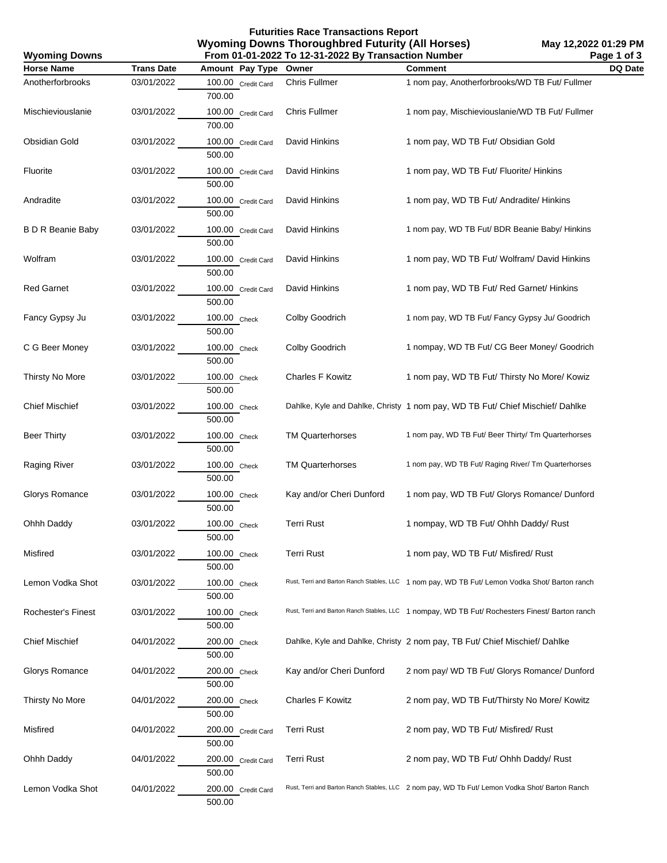**Futurities Race Transactions Report Wyoming Downs Thoroughbred Futurity (All Horses) From 01-01-2022 To 12-31-2022 By Transaction Number**

**May 12,2022 01:29 PM Page 1 of 3**

| From 01-01-2022 To 12-31-2022 By Transaction Number<br>Page 1 of 3<br><b>Wyoming Downs</b> |                   |                              |                          |                                                                                                |                |
|--------------------------------------------------------------------------------------------|-------------------|------------------------------|--------------------------|------------------------------------------------------------------------------------------------|----------------|
| <b>Horse Name</b>                                                                          | <b>Trans Date</b> | Amount Pay Type              | Owner                    | <b>Comment</b>                                                                                 | <b>DQ Date</b> |
| Anotherforbrooks                                                                           | 03/01/2022        | 100.00 Credit Card<br>700.00 | Chris Fullmer            | 1 nom pay, Anotherforbrooks/WD TB Fut/ Fullmer                                                 |                |
| Mischieviouslanie                                                                          | 03/01/2022        | 100.00 Credit Card<br>700.00 | Chris Fullmer            | 1 nom pay, Mischieviouslanie/WD TB Fut/ Fullmer                                                |                |
| <b>Obsidian Gold</b>                                                                       | 03/01/2022        | 100.00 Credit Card<br>500.00 | David Hinkins            | 1 nom pay, WD TB Fut/ Obsidian Gold                                                            |                |
| Fluorite                                                                                   | 03/01/2022        | 100.00 Credit Card<br>500.00 | David Hinkins            | 1 nom pay, WD TB Fut/ Fluorite/ Hinkins                                                        |                |
| Andradite                                                                                  | 03/01/2022        | 100.00 Credit Card<br>500.00 | David Hinkins            | 1 nom pay, WD TB Fut/ Andradite/ Hinkins                                                       |                |
| <b>B D R Beanie Baby</b>                                                                   | 03/01/2022        | 100.00 Credit Card<br>500.00 | David Hinkins            | 1 nom pay, WD TB Fut/ BDR Beanie Baby/ Hinkins                                                 |                |
| Wolfram                                                                                    | 03/01/2022        | 100.00 Credit Card<br>500.00 | David Hinkins            | 1 nom pay, WD TB Fut/ Wolfram/ David Hinkins                                                   |                |
| <b>Red Garnet</b>                                                                          | 03/01/2022        | 100.00 Credit Card<br>500.00 | David Hinkins            | 1 nom pay, WD TB Fut/ Red Garnet/ Hinkins                                                      |                |
| Fancy Gypsy Ju                                                                             | 03/01/2022        | 100.00 Check<br>500.00       | Colby Goodrich           | 1 nom pay, WD TB Fut/ Fancy Gypsy Ju/ Goodrich                                                 |                |
| C G Beer Money                                                                             | 03/01/2022        | 100.00 Check<br>500.00       | Colby Goodrich           | 1 nompay, WD TB Fut/ CG Beer Money/ Goodrich                                                   |                |
| Thirsty No More                                                                            | 03/01/2022        | 100.00 Check<br>500.00       | <b>Charles F Kowitz</b>  | 1 nom pay, WD TB Fut/ Thirsty No More/ Kowiz                                                   |                |
| <b>Chief Mischief</b>                                                                      | 03/01/2022        | 100.00 Check<br>500.00       |                          | Dahlke, Kyle and Dahlke, Christy 1 nom pay, WD TB Fut/ Chief Mischief/ Dahlke                  |                |
| <b>Beer Thirty</b>                                                                         | 03/01/2022        | 100.00 Check<br>500.00       | <b>TM Quarterhorses</b>  | 1 nom pay, WD TB Fut/ Beer Thirty/ Tm Quarterhorses                                            |                |
| Raging River                                                                               | 03/01/2022        | 100.00 Check<br>500.00       | <b>TM Quarterhorses</b>  | 1 nom pay, WD TB Fut/ Raging River/ Tm Quarterhorses                                           |                |
| Glorys Romance                                                                             | 03/01/2022        | 100.00 Check<br>500.00       | Kay and/or Cheri Dunford | 1 nom pay, WD TB Fut/ Glorys Romance/ Dunford                                                  |                |
| Ohhh Daddy                                                                                 | 03/01/2022        | 100.00 Check<br>500.00       | <b>Terri Rust</b>        | 1 nompay, WD TB Fut/ Ohhh Daddy/ Rust                                                          |                |
| Misfired                                                                                   | 03/01/2022        | 100.00 Check<br>500.00       | <b>Terri Rust</b>        | 1 nom pay, WD TB Fut/ Misfired/ Rust                                                           |                |
| Lemon Vodka Shot                                                                           | 03/01/2022        | 100.00 Check<br>500.00       |                          | Rust, Terri and Barton Ranch Stables, LLC 1 nom pay, WD TB Fut/ Lemon Vodka Shot/ Barton ranch |                |
| Rochester's Finest                                                                         | 03/01/2022        | 100.00 Check<br>500.00       |                          | Rust, Terri and Barton Ranch Stables, LLC 1 nompay, WD TB Fut/ Rochesters Finest/ Barton ranch |                |
| <b>Chief Mischief</b>                                                                      | 04/01/2022        | 200.00 Check<br>500.00       |                          | Dahlke, Kyle and Dahlke, Christy 2 nom pay, TB Fut/ Chief Mischief/ Dahlke                     |                |
| Glorys Romance                                                                             | 04/01/2022        | 200.00 Check<br>500.00       | Kay and/or Cheri Dunford | 2 nom pay/ WD TB Fut/ Glorys Romance/ Dunford                                                  |                |
| Thirsty No More                                                                            | 04/01/2022        | 200.00 Check<br>500.00       | <b>Charles F Kowitz</b>  | 2 nom pay, WD TB Fut/Thirsty No More/ Kowitz                                                   |                |
| Misfired                                                                                   | 04/01/2022        | 200.00 Credit Card<br>500.00 | <b>Terri Rust</b>        | 2 nom pay, WD TB Fut/ Misfired/ Rust                                                           |                |
| Ohhh Daddy                                                                                 | 04/01/2022        | 200.00 Credit Card<br>500.00 | <b>Terri Rust</b>        | 2 nom pay, WD TB Fut/ Ohhh Daddy/ Rust                                                         |                |
| Lemon Vodka Shot                                                                           | 04/01/2022        | 200.00 Credit Card<br>500.00 |                          | Rust, Terri and Barton Ranch Stables, LLC 2 nom pay, WD Tb Fut/ Lemon Vodka Shot/ Barton Ranch |                |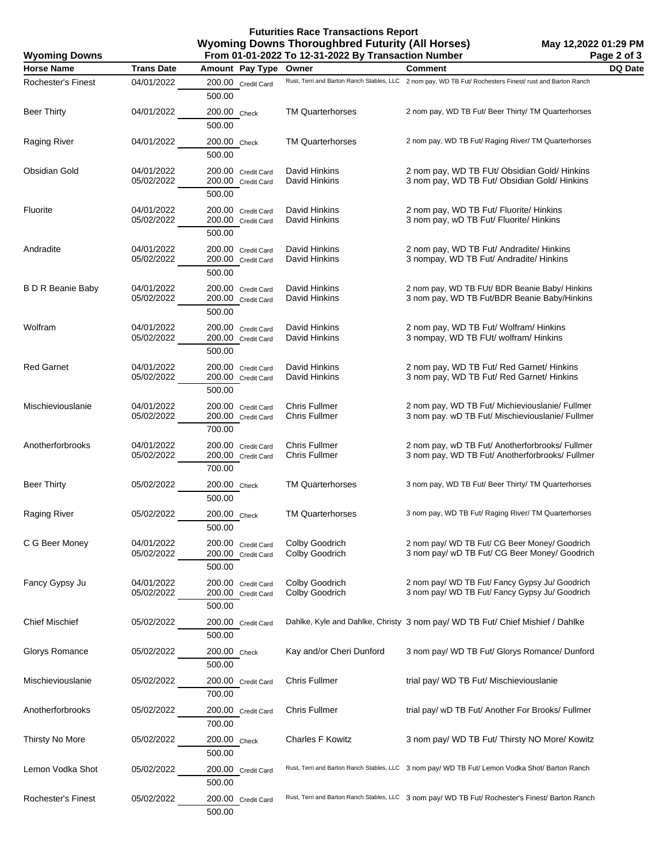## **Futurities Race Transactions Report Wyoming Downs Thoroughbred Futurity (All Horses) From 01-01-2022 To 12-31-2022 By Transaction Number**

| From 01-01-2022 To 12-31-2022 By Transaction Number<br><b>Wyoming Downs</b> |                          |                                                    |                                              | Page 2 of 3                                                                                              |                |
|-----------------------------------------------------------------------------|--------------------------|----------------------------------------------------|----------------------------------------------|----------------------------------------------------------------------------------------------------------|----------------|
| <b>Horse Name</b>                                                           | <b>Trans Date</b>        | Amount Pay Type                                    | Owner                                        | <b>Comment</b>                                                                                           | <b>DQ Date</b> |
| <b>Rochester's Finest</b>                                                   | 04/01/2022               | 200.00 Credit Card<br>500.00                       |                                              | Rust, Terri and Barton Ranch Stables, LLC 2 nom pay, WD TB Fut/ Rochesters Finest/ rust and Barton Ranch |                |
| <b>Beer Thirty</b>                                                          | 04/01/2022               | 200.00 Check<br>500.00                             | <b>TM Quarterhorses</b>                      | 2 nom pay, WD TB Fut/ Beer Thirty/ TM Quarterhorses                                                      |                |
| Raging River                                                                | 04/01/2022               | 200.00 Check<br>500.00                             | <b>TM Quarterhorses</b>                      | 2 nom pay, WD TB Fut/ Raging River/ TM Quarterhorses                                                     |                |
| Obsidian Gold                                                               | 04/01/2022<br>05/02/2022 | 200.00 Credit Card<br>200.00 Credit Card<br>500.00 | David Hinkins<br>David Hinkins               | 2 nom pay, WD TB FUt/ Obsidian Gold/ Hinkins<br>3 nom pay, WD TB Fut/ Obsidian Gold/ Hinkins             |                |
| Fluorite                                                                    | 04/01/2022<br>05/02/2022 | 200.00 Credit Card<br>200.00 Credit Card<br>500.00 | David Hinkins<br>David Hinkins               | 2 nom pay, WD TB Fut/ Fluorite/ Hinkins<br>3 nom pay, wD TB Fut/ Fluorite/ Hinkins                       |                |
| Andradite                                                                   | 04/01/2022<br>05/02/2022 | 200.00 Credit Card<br>200.00 Credit Card<br>500.00 | David Hinkins<br>David Hinkins               | 2 nom pay, WD TB Fut/ Andradite/ Hinkins<br>3 nompay, WD TB Fut/ Andradite/ Hinkins                      |                |
| <b>B D R Beanie Baby</b>                                                    | 04/01/2022<br>05/02/2022 | 200.00 Credit Card<br>200.00 Credit Card<br>500.00 | David Hinkins<br>David Hinkins               | 2 nom pay, WD TB FUt/ BDR Beanie Baby/ Hinkins<br>3 nom pay, WD TB Fut/BDR Beanie Baby/Hinkins           |                |
| Wolfram                                                                     | 04/01/2022<br>05/02/2022 | 200.00 Credit Card<br>200.00 Credit Card<br>500.00 | David Hinkins<br>David Hinkins               | 2 nom pay, WD TB Fut/ Wolfram/ Hinkins<br>3 nompay, WD TB FUt/ wolfram/ Hinkins                          |                |
| <b>Red Garnet</b>                                                           | 04/01/2022<br>05/02/2022 | 200.00 Credit Card<br>200.00 Credit Card<br>500.00 | David Hinkins<br>David Hinkins               | 2 nom pay, WD TB Fut/ Red Garnet/ Hinkins<br>3 nom pay, WD TB Fut/ Red Garnet/ Hinkins                   |                |
| Mischieviouslanie                                                           | 04/01/2022<br>05/02/2022 | 200.00 Credit Card<br>200.00 Credit Card<br>700.00 | <b>Chris Fullmer</b><br><b>Chris Fullmer</b> | 2 nom pay, WD TB Fut/ Michieviouslanie/ Fullmer<br>3 nom pay. wD TB Fut/ Mischieviouslanie/ Fullmer      |                |
| Anotherforbrooks                                                            | 04/01/2022<br>05/02/2022 | 200.00 Credit Card<br>200.00 Credit Card<br>700.00 | <b>Chris Fullmer</b><br><b>Chris Fullmer</b> | 2 nom pay, wD TB Fut/ Anotherforbrooks/ Fullmer<br>3 nom pay, WD TB Fut/ Anotherforbrooks/ Fullmer       |                |
| <b>Beer Thirty</b>                                                          | 05/02/2022               | 200.00 Check<br>500.00                             | <b>TM Quarterhorses</b>                      | 3 nom pay, WD TB Fut/ Beer Thirty/ TM Quarterhorses                                                      |                |
| Raging River                                                                | 05/02/2022               | 200.00 Check<br>500.00                             | <b>TM Quarterhorses</b>                      | 3 nom pay, WD TB Fut/ Raging River/ TM Quarterhorses                                                     |                |
| C G Beer Money                                                              | 04/01/2022<br>05/02/2022 | 200.00 Credit Card<br>200.00 Credit Card<br>500.00 | Colby Goodrich<br>Colby Goodrich             | 2 nom pay/ WD TB Fut/ CG Beer Money/ Goodrich<br>3 nom pay/ wD TB Fut/ CG Beer Money/ Goodrich           |                |
| Fancy Gypsy Ju                                                              | 04/01/2022<br>05/02/2022 | 200.00 Credit Card<br>200.00 Credit Card<br>500.00 | Colby Goodrich<br>Colby Goodrich             | 2 nom pay/ WD TB Fut/ Fancy Gypsy Ju/ Goodrich<br>3 nom pay/ WD TB Fut/ Fancy Gypsy Ju/ Goodrich         |                |
| <b>Chief Mischief</b>                                                       | 05/02/2022               | 200.00 Credit Card<br>500.00                       |                                              | Dahlke, Kyle and Dahlke, Christy 3 nom pay/ WD TB Fut/ Chief Mishief / Dahlke                            |                |
| Glorys Romance                                                              | 05/02/2022               | 200.00 Check<br>500.00                             | Kay and/or Cheri Dunford                     | 3 nom pay/ WD TB Fut/ Glorys Romance/ Dunford                                                            |                |
| Mischieviouslanie                                                           | 05/02/2022               | 200.00 Credit Card<br>700.00                       | <b>Chris Fullmer</b>                         | trial pay/ WD TB Fut/ Mischieviouslanie                                                                  |                |
| Anotherforbrooks                                                            | 05/02/2022               | 200.00 Credit Card<br>700.00                       | <b>Chris Fullmer</b>                         | trial pay/ wD TB Fut/ Another For Brooks/ Fullmer                                                        |                |
| Thirsty No More                                                             | 05/02/2022               | 200.00 Check<br>500.00                             | <b>Charles F Kowitz</b>                      | 3 nom pay/ WD TB Fut/ Thirsty NO More/ Kowitz                                                            |                |
| Lemon Vodka Shot                                                            | 05/02/2022               | 200.00 Credit Card<br>500.00                       |                                              | Rust, Terri and Barton Ranch Stables, LLC 3 nom pay/ WD TB Fut/ Lemon Vodka Shot/ Barton Ranch           |                |
| Rochester's Finest                                                          | 05/02/2022               | 200.00 Credit Card<br>500.00                       |                                              | Rust, Terri and Barton Ranch Stables, LLC 3 nom pay/ WD TB Fut/ Rochester's Finest/ Barton Ranch         |                |